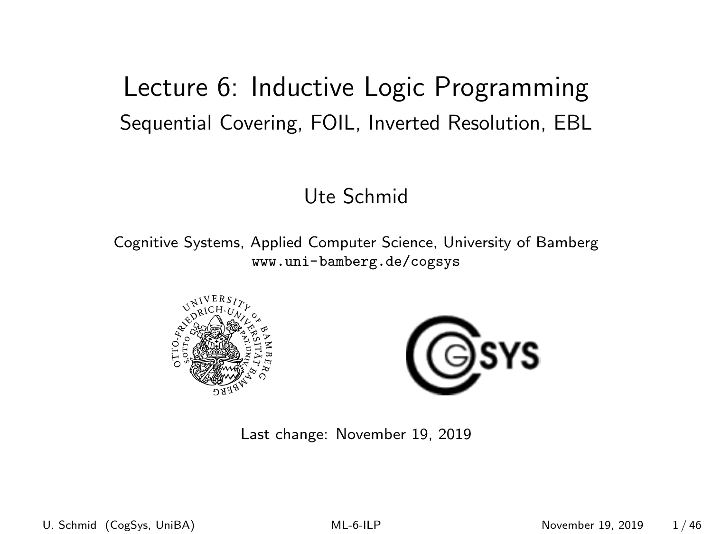### <span id="page-0-0"></span>Lecture 6: Inductive Logic Programming Sequential Covering, FOIL, Inverted Resolution, EBL

#### Ute Schmid

Cognitive Systems, Applied Computer Science, University of Bamberg <www.uni-bamberg.de/cogsys>





Last change: November 19, 2019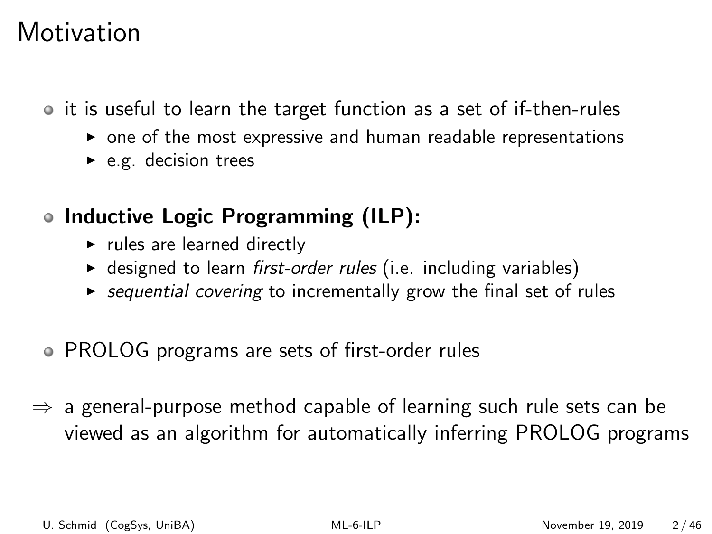## **Motivation**

• it is useful to learn the target function as a set of if-then-rules

- $\triangleright$  one of the most expressive and human readable representations
- $\blacktriangleright$  e.g. decision trees
- Inductive Logic Programming (ILP):
	- $\blacktriangleright$  rules are learned directly
	- $\triangleright$  designed to learn first-order rules (i.e. including variables)
	- $\triangleright$  sequential covering to incrementally grow the final set of rules
- PROLOG programs are sets of first-order rules
- $\Rightarrow$  a general-purpose method capable of learning such rule sets can be viewed as an algorithm for automatically inferring PROLOG programs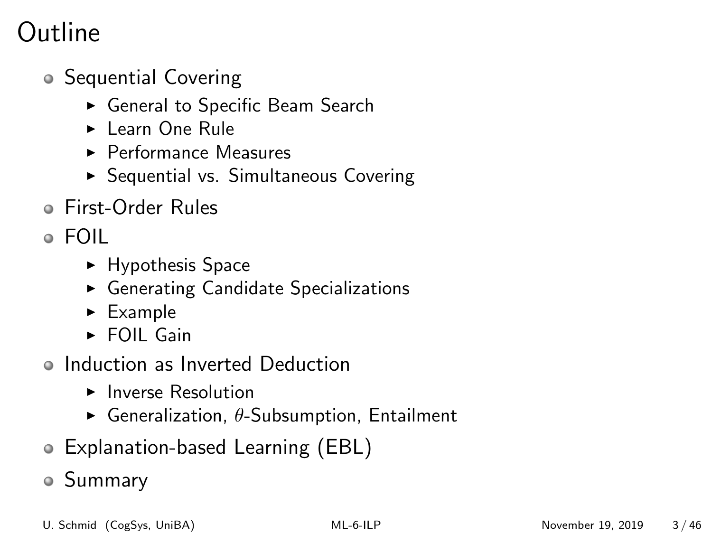## Outline

- **Sequential Covering** 
	- ► General to Specific Beam Search
	- ► Learn One Rule
	- $\blacktriangleright$  Performance Measures
	- $\triangleright$  Sequential vs. Simultaneous Covering
- First-Order Rules
- FOIL
	- $\blacktriangleright$  Hypothesis Space
	- $\triangleright$  Generating Candidate Specializations
	- $\blacktriangleright$  Example
	- $\triangleright$  FOIL Gain
- Induction as Inverted Deduction
	- $\blacktriangleright$  Inverse Resolution
	- **F** Generalization,  $\theta$ -Subsumption, Entailment
- Explanation-based Learning (EBL)
- Summary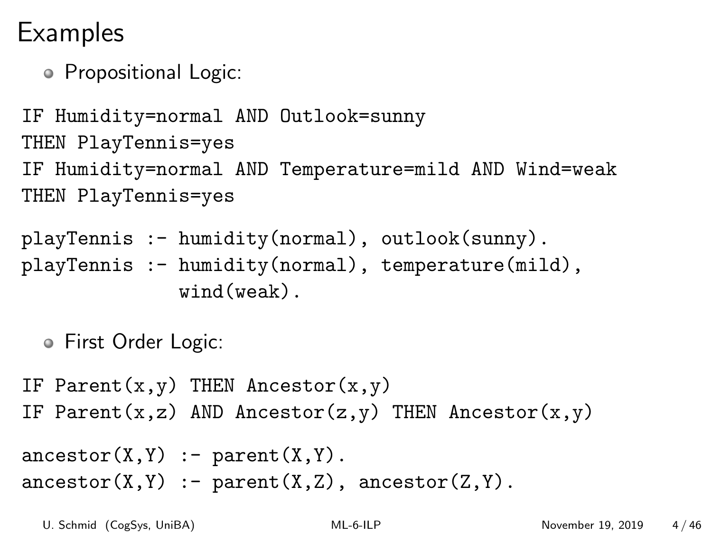## **Examples**

Propositional Logic:

IF Humidity=normal AND Outlook=sunny THEN PlayTennis=yes IF Humidity=normal AND Temperature=mild AND Wind=weak THEN PlayTennis=yes

playTennis :- humidity(normal), outlook(sunny).

playTennis :- humidity(normal), temperature(mild), wind(weak).

First Order Logic:

IF Parent $(x,y)$  THEN Ancestor $(x,y)$ IF Parent(x,z) AND Ancestor(z,y) THEN Ancestor(x,y)

```
\text{arcestor}(X, Y) := \text{parent}(X, Y).
\text{arcestor}(X, Y) := \text{parent}(X, Z), \text{arcestor}(Z, Y).
```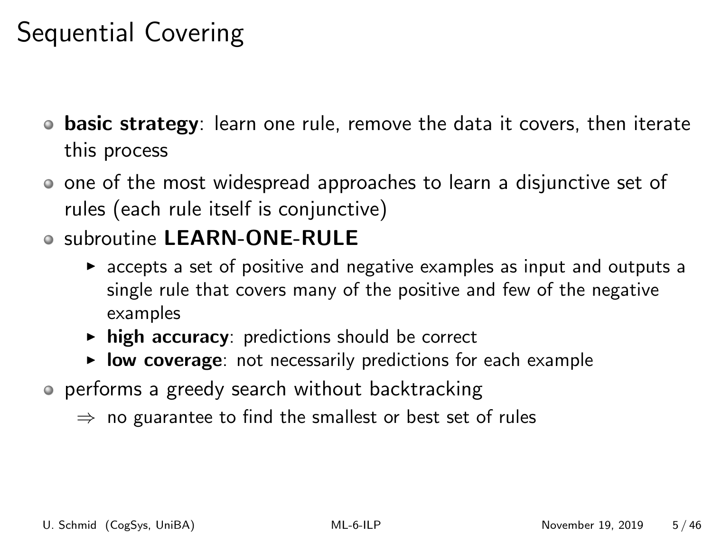## Sequential Covering

- $\bullet$  basic strategy: learn one rule, remove the data it covers, then iterate this process
- one of the most widespread approaches to learn a disjunctive set of rules (each rule itself is conjunctive)
- o subroutine LEARN-ONE-RULE
	- $\triangleright$  accepts a set of positive and negative examples as input and outputs a single rule that covers many of the positive and few of the negative examples
	- $\triangleright$  high accuracy: predictions should be correct
	- $\triangleright$  low coverage: not necessarily predictions for each example
- performs a greedy search without backtracking
	- $\Rightarrow$  no guarantee to find the smallest or best set of rules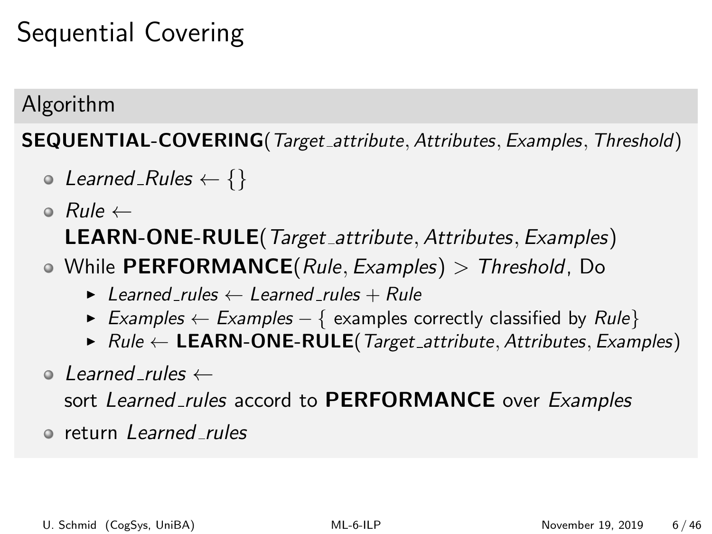## Sequential Covering

#### Algorithm

SEQUENTIAL-COVERING(Target\_attribute, Attributes, Examples, Threshold)

- $\circ$  Learned Rules  $\leftarrow \{\}$
- Rule ← LEARN-ONE-RULE(Target attribute, Attributes, Examples)
- $\bullet$  While PERFORMANCE(*Rule, Examples*) > Threshold, Do
	- $\blacktriangleright$  Learned rules  $\leftarrow$  Learned rules + Rule
	- ► Examples  $\leftarrow$  Examples  $-$  { examples correctly classified by Rule}
	- $\triangleright$  Rule  $\leftarrow$  LEARN-ONE-RULE(Target\_attribute, Attributes, Examples)
- $\circ$  Learned rules  $\leftarrow$

sort Learned rules accord to PERFORMANCE over Examples

return Learned rules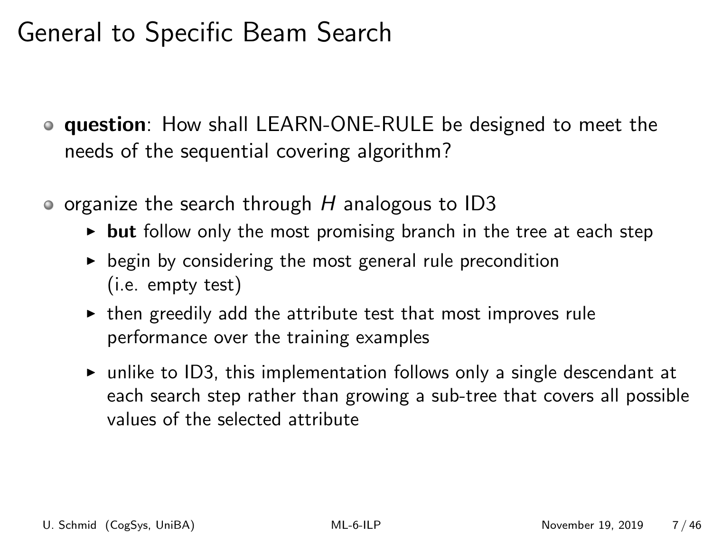## General to Specific Beam Search

- **question**: How shall LEARN-ONE-RULE be designed to meet the needs of the sequential covering algorithm?
- $\bullet$  organize the search through H analogous to ID3
	- $\rightarrow$  but follow only the most promising branch in the tree at each step
	- $\triangleright$  begin by considering the most general rule precondition (i.e. empty test)
	- $\triangleright$  then greedily add the attribute test that most improves rule performance over the training examples
	- $\triangleright$  unlike to ID3, this implementation follows only a single descendant at each search step rather than growing a sub-tree that covers all possible values of the selected attribute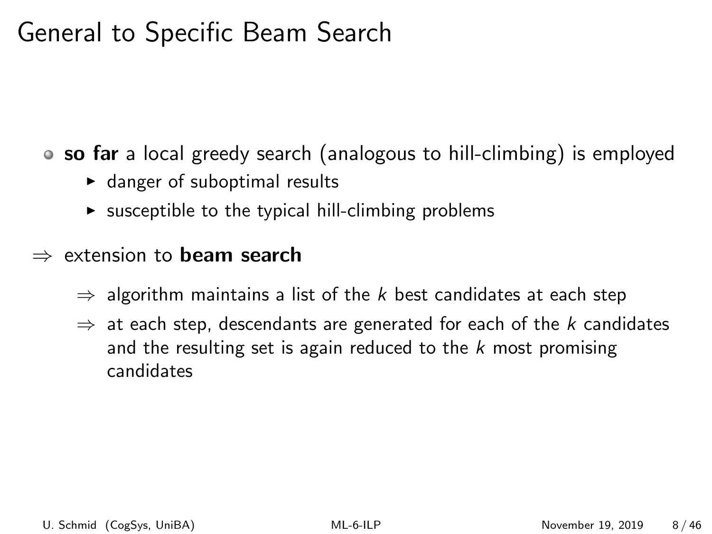## General to Specific Beam Search

• so far a local greedy search (analogous to hill-climbing) is employed

- $\blacktriangleright$  danger of suboptimal results
- $\triangleright$  susceptible to the typical hill-climbing problems

#### $\Rightarrow$  extension to **beam search**

- $\Rightarrow$  algorithm maintains a list of the k best candidates at each step
- $\Rightarrow$  at each step, descendants are generated for each of the k candidates and the resulting set is again reduced to the  $k$  most promising candidates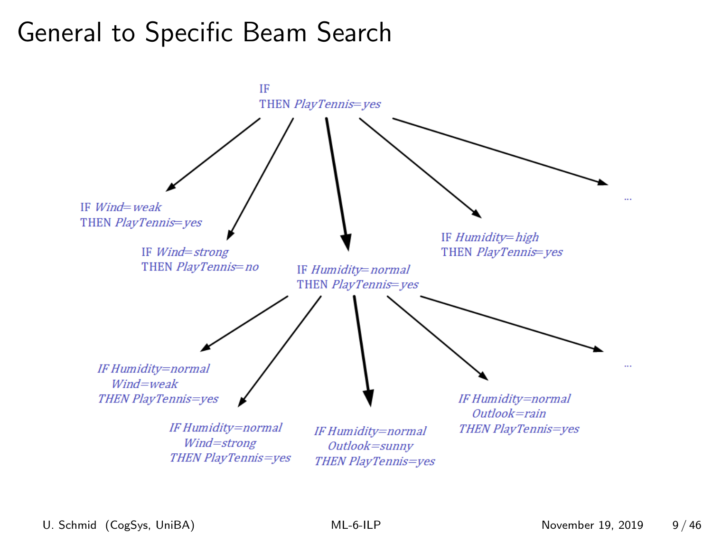## General to Specific Beam Search

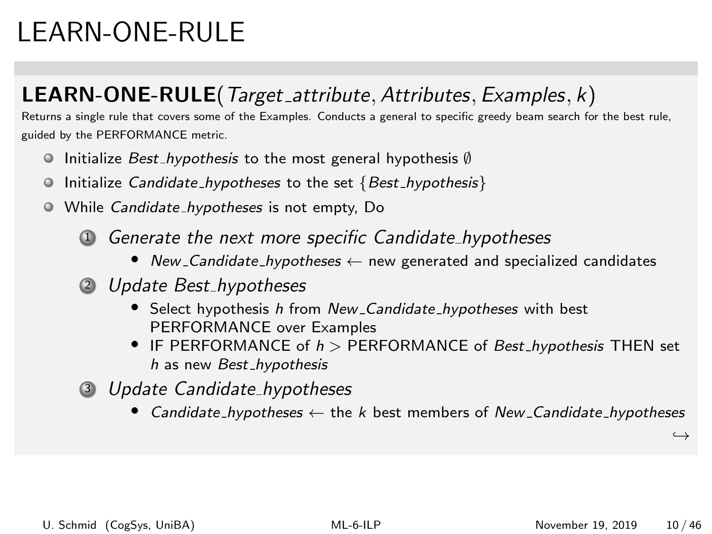# LEARN-ONE-RULE

#### LEARN-ONE-RULE(Target\_attribute, Attributes, Examples, k)

Returns a single rule that covers some of the Examples. Conducts a general to specific greedy beam search for the best rule, guided by the PERFORMANCE metric.

- Initialize Best hypothesis to the most general hypothesis ∅
- $\bullet$  Initialize Candidate\_hypotheses to the set  $\{Best\_hypothesis\}$
- While Candidate hypotheses is not empty, Do
	- <sup>1</sup> Generate the next more specific Candidate hypotheses
		- New Candidate hypotheses ← new generated and specialized candidates
	- 2 Update Best\_hypotheses
		- Select hypothesis h from New\_Candidate\_hypotheses with best PERFORMANCE over Examples
		- IF PERFORMANCE of  $h >$  PERFORMANCE of Best\_hypothesis THEN set h as new Best hypothesis
	- <sup>3</sup> Update Candidate hypotheses
		- Candidate\_hypotheses  $\leftarrow$  the k best members of New Candidate\_hypotheses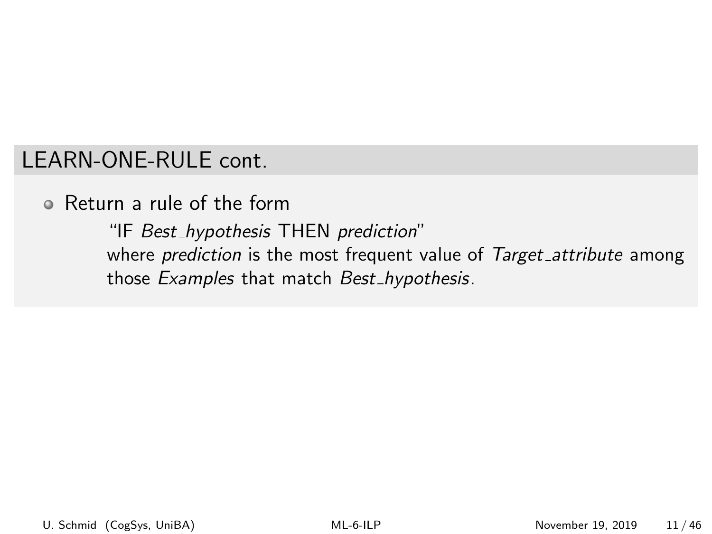#### LEARN-ONE-RULE cont.

Return a rule of the form

"IF Best hypothesis THEN prediction" where prediction is the most frequent value of Target\_attribute among those Examples that match Best\_hypothesis.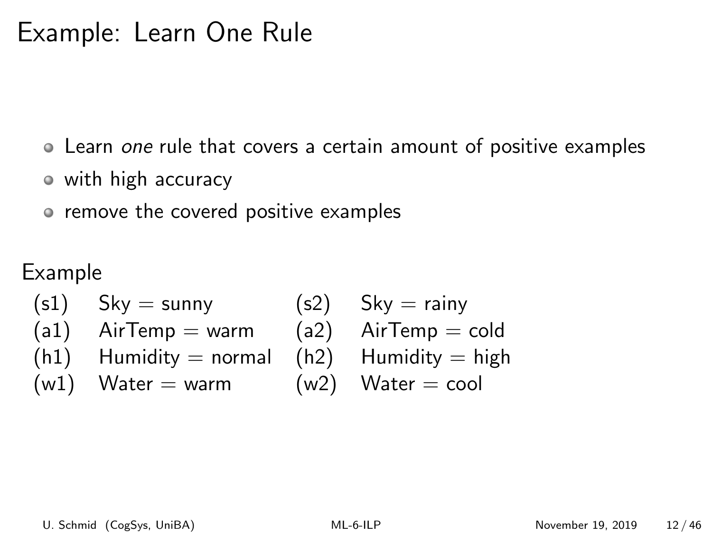## Example: Learn One Rule

Learn one rule that covers a certain amount of positive examples

- with high accuracy
- remove the covered positive examples

Example

 $(s1)$  Sky = sunny  $(s2)$  Sky = rainy  $(a1)$  AirTemp = warm  $(a2)$  AirTemp = cold  $(h1)$  Humidity = normal  $(h2)$  Humidity = high  $(w1)$  Water = warm  $(w2)$  Water = cool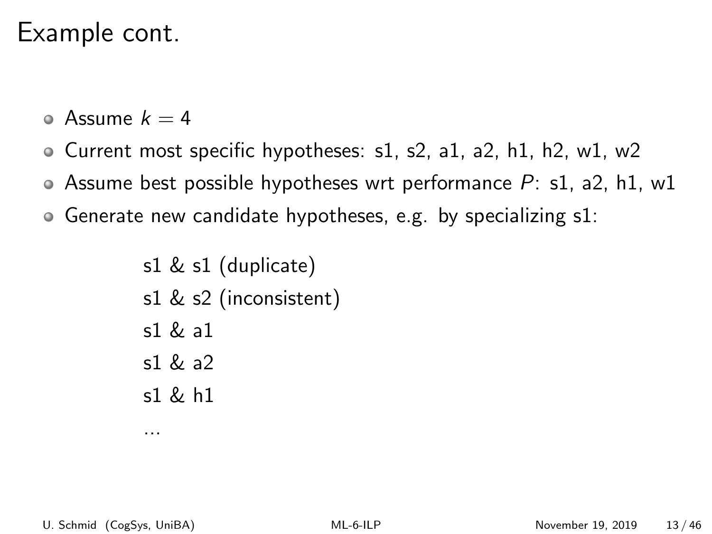### Example cont.

- Assume  $k = 4$
- Current most specific hypotheses: s1, s2, a1, a2, h1, h2, w1, w2
- Assume best possible hypotheses wrt performance  $P: s1$ , a2, h1, w1
- Generate new candidate hypotheses, e.g. by specializing s1:

s1 & s1 (duplicate) s1 & s2 (inconsistent)  $s1 & 2a1$ s1 & a2 s1 & h1

...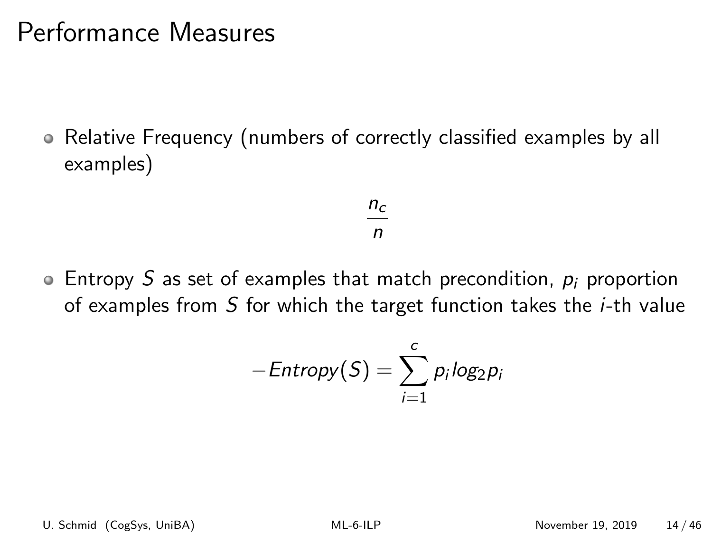### Performance Measures

Relative Frequency (numbers of correctly classified examples by all examples)

$$
\frac{n_c}{n}
$$

 $\bullet$  Entropy S as set of examples that match precondition,  $p_i$  proportion of examples from S for which the target function takes the i-th value

$$
-Entropy(S) = \sum_{i=1}^{c} p_i log_2 p_i
$$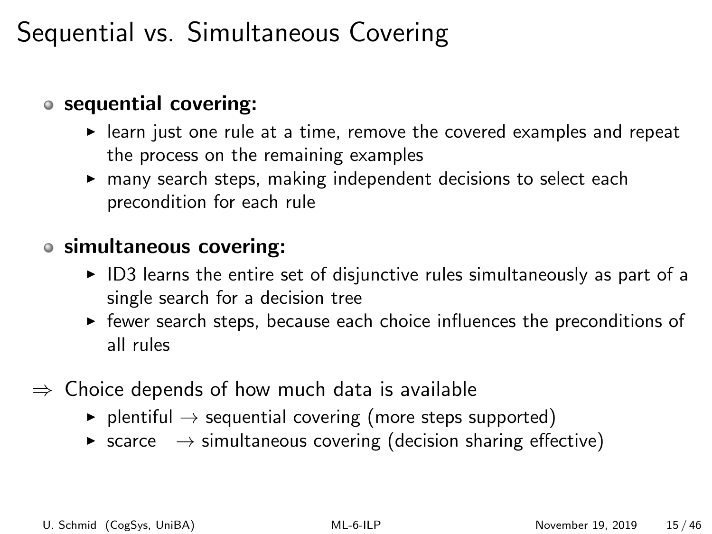## Sequential vs. Simultaneous Covering

#### sequential covering:

- $\blacktriangleright$  learn just one rule at a time, remove the covered examples and repeat the process on the remaining examples
- $\triangleright$  many search steps, making independent decisions to select each precondition for each rule

#### simultaneous covering:

- $\triangleright$  ID3 learns the entire set of disjunctive rules simultaneously as part of a single search for a decision tree
- $\blacktriangleright$  fewer search steps, because each choice influences the preconditions of all rules
- $\Rightarrow$  Choice depends of how much data is available
	- $\triangleright$  plentiful  $\rightarrow$  sequential covering (more steps supported)
	- $\triangleright$  scarce  $\rightarrow$  simultaneous covering (decision sharing effective)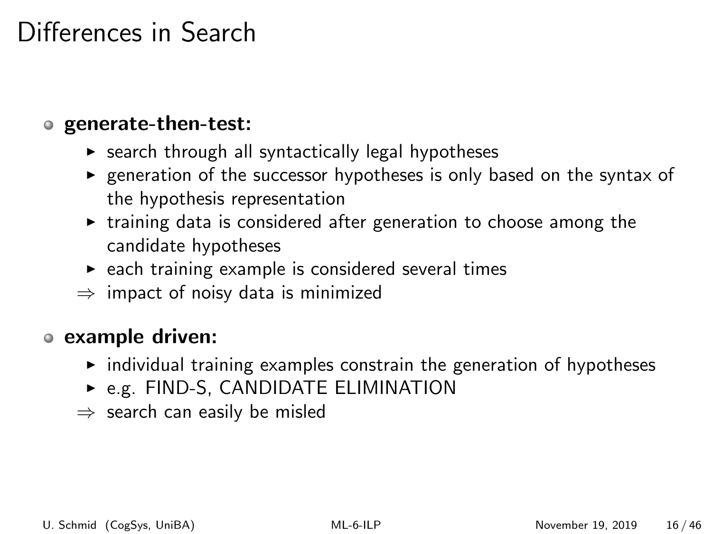## Differences in Search

#### generate-then-test:

- $\triangleright$  search through all syntactically legal hypotheses
- $\triangleright$  generation of the successor hypotheses is only based on the syntax of the hypothesis representation
- $\triangleright$  training data is considered after generation to choose among the candidate hypotheses
- $\triangleright$  each training example is considered several times
- $\Rightarrow$  impact of noisy data is minimized

#### example driven:

- $\triangleright$  individual training examples constrain the generation of hypotheses
- $\triangleright$  e.g. FIND-S, CANDIDATE ELIMINATION
- $\Rightarrow$  search can easily be misled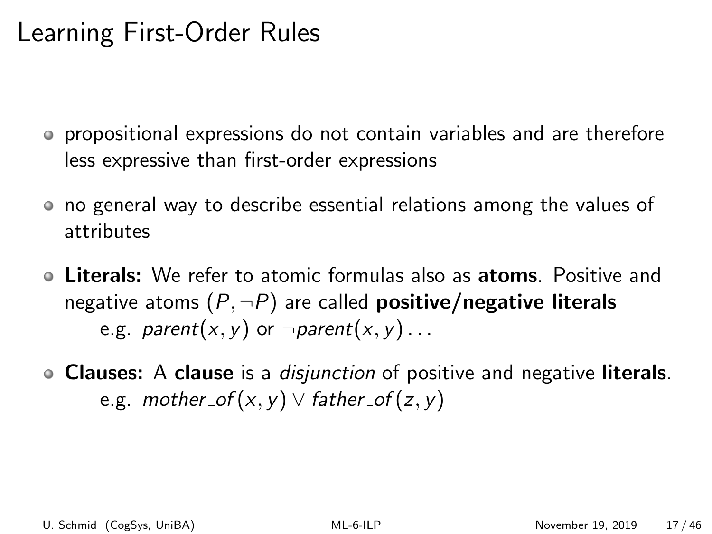## Learning First-Order Rules

- propositional expressions do not contain variables and are therefore less expressive than first-order expressions
- no general way to describe essential relations among the values of attributes
- Literals: We refer to atomic formulas also as atoms. Positive and negative atoms  $(P, \neg P)$  are called **positive/negative literals** e.g. *parent* $(x, y)$  or  $\neg parent(x, y) \dots$
- Clauses: A clause is a *disjunction* of positive and negative literals. e.g. mother\_of(x, y)  $\vee$  father\_of(z, y)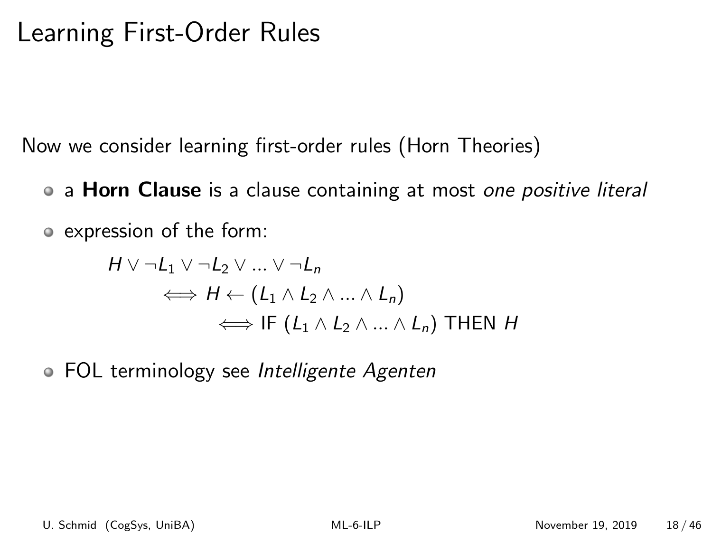## Learning First-Order Rules

Now we consider learning first-order rules (Horn Theories)

- a **Horn Clause** is a clause containing at most one positive literal
- expression of the form:

$$
H \vee \neg L_1 \vee \neg L_2 \vee \dots \vee \neg L_n
$$
  
\n
$$
\iff H \leftarrow (L_1 \wedge L_2 \wedge \dots \wedge L_n)
$$
  
\n
$$
\iff \text{IF } (L_1 \wedge L_2 \wedge \dots \wedge L_n) \text{ THEN } H
$$

• FOL terminology see Intelligente Agenten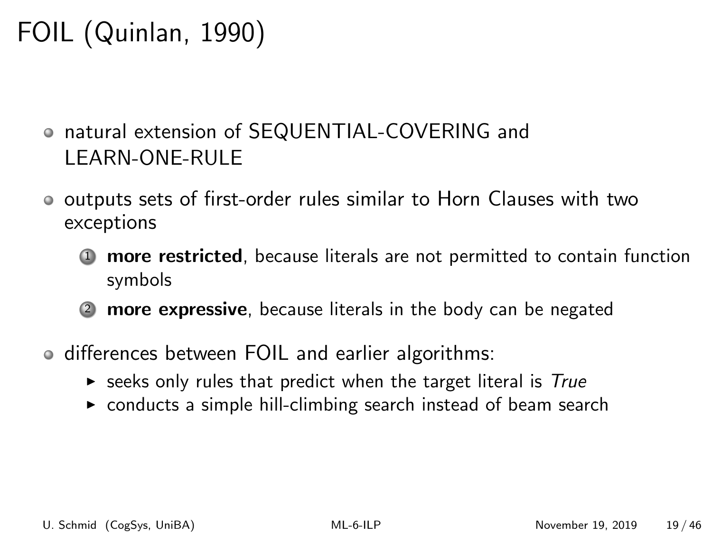# FOIL (Quinlan, 1990)

- natural extension of SEQUENTIAL-COVERING and LEARN-ONE-RULE
- outputs sets of first-order rules similar to Horn Clauses with two exceptions
	- **1** more restricted, because literals are not permitted to contain function symbols
	- more expressive, because literals in the body can be negated
- differences between FOIL and earlier algorithms:
	- $\triangleright$  seeks only rules that predict when the target literal is True
	- $\triangleright$  conducts a simple hill-climbing search instead of beam search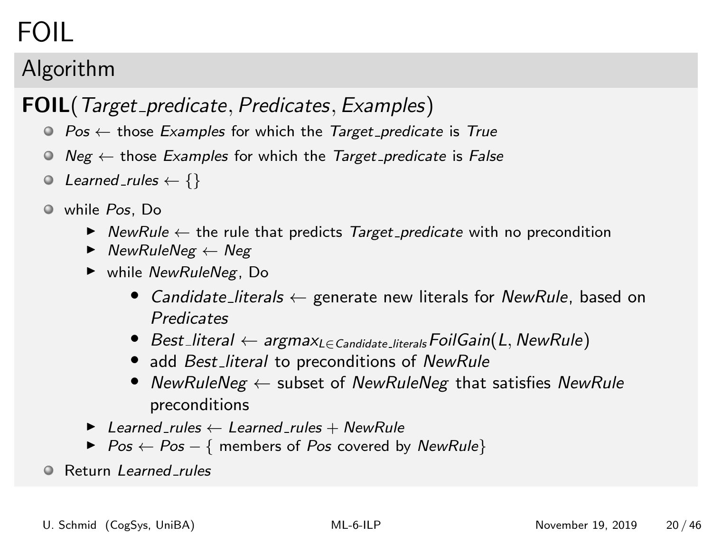# FOIL

### Algorithm

#### FOIL(Target\_predicate, Predicates, Examples)

- $\odot$  Pos  $\leftarrow$  those Examples for which the Target predicate is True
- $\odot$  Neg  $\leftarrow$  those Examples for which the Target predicate is False
- $\odot$  Learned rules  $\leftarrow \{\}$
- while Pos, Do
	- $\triangleright$  NewRule  $\leftarrow$  the rule that predicts Target\_predicate with no precondition
	- $\blacktriangleright$  NewRuleNeg  $\leftarrow$  Neg
	- $\blacktriangleright$  while NewRuleNeg, Do
		- Candidate\_literals  $\leftarrow$  generate new literals for NewRule, based on **Predicates**
		- Best\_literal  $\leftarrow$  argmax<sub>L∈ Candidate</sub> literals FoilGain(L, NewRule)
		- add Best\_literal to preconditions of NewRule
		- NewRuleNeg  $\leftarrow$  subset of NewRuleNeg that satisfies NewRule preconditions
	- $\blacktriangleright$  Learned rules  $\leftarrow$  Learned rules + NewRule
	- $\triangleright$  Pos  $\leftarrow$  Pos  $-$  { members of Pos covered by NewRule}
- **C** Return Learned rules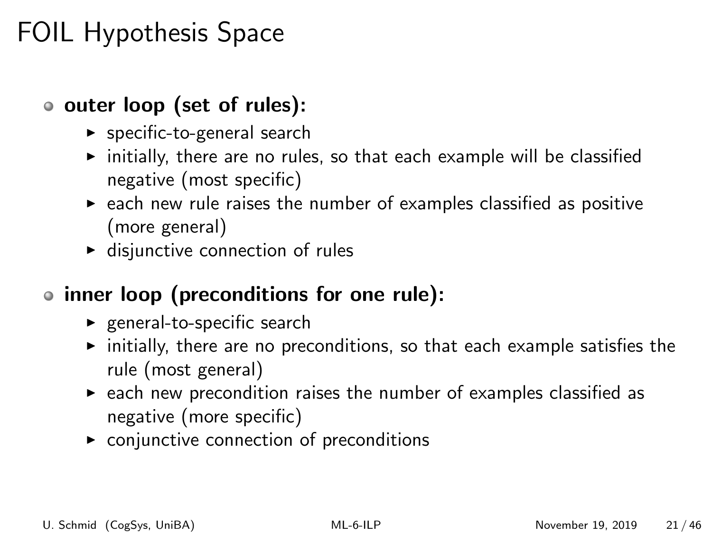## FOIL Hypothesis Space

- o outer loop (set of rules):
	- $\blacktriangleright$  specific-to-general search
	- $\triangleright$  initially, there are no rules, so that each example will be classified negative (most specific)
	- $\triangleright$  each new rule raises the number of examples classified as positive (more general)
	- $\blacktriangleright$  disjunctive connection of rules

#### • inner loop (preconditions for one rule):

- $\blacktriangleright$  general-to-specific search
- $\triangleright$  initially, there are no preconditions, so that each example satisfies the rule (most general)
- $\triangleright$  each new precondition raises the number of examples classified as negative (more specific)
- $\triangleright$  conjunctive connection of preconditions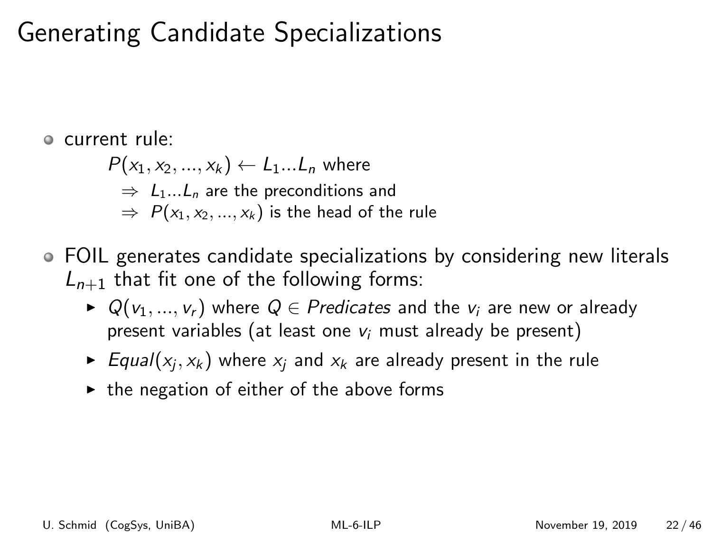## Generating Candidate Specializations

current rule:

 $P(x_1, x_2, ..., x_k) \leftarrow L_1...L_n$  where  $\Rightarrow$  L<sub>1</sub>...L<sub>n</sub> are the preconditions and  $\Rightarrow P(x_1, x_2, ..., x_k)$  is the head of the rule

- FOIL generates candidate specializations by considering new literals  $L_{n+1}$  that fit one of the following forms:
	- $\triangleright$  Q( $v_1, ..., v_r$ ) where  $Q \in$  Predicates and the  $v_i$  are new or already present variables (at least one  $v_i$  must already be present)
	- $\blacktriangleright$  Equal $(x_j, x_k)$  where  $x_j$  and  $x_k$  are already present in the rule
	- $\triangleright$  the negation of either of the above forms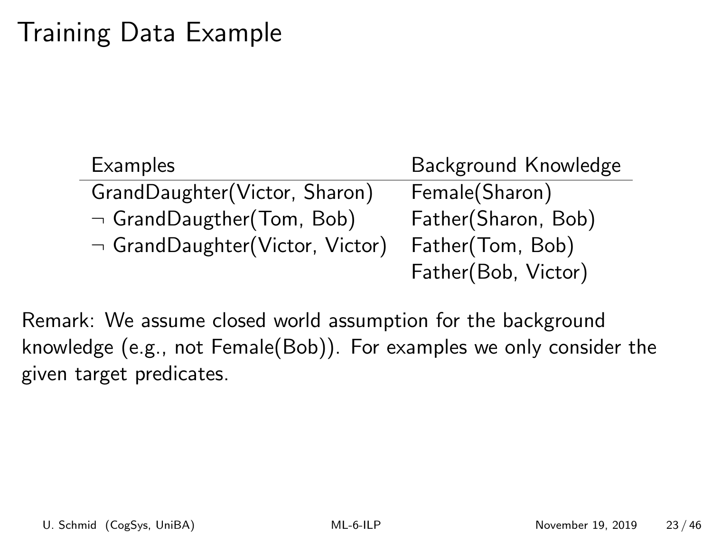## Training Data Example

| Examples                             | Background Knowledge |
|--------------------------------------|----------------------|
| GrandDaughter(Victor, Sharon)        | Female(Sharon)       |
| $\neg$ GrandDaugther(Tom, Bob)       | Father(Sharon, Bob)  |
| $\neg$ GrandDaughter(Victor, Victor) | Father(Tom, Bob)     |
|                                      | Father(Bob, Victor)  |

Remark: We assume closed world assumption for the background knowledge (e.g., not Female(Bob)). For examples we only consider the given target predicates.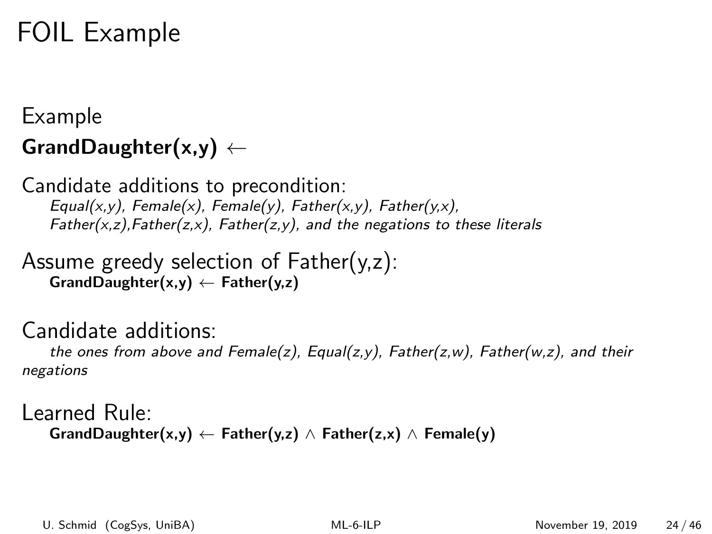## FOIL Example

#### Example GrandDaughter $(x,y) \leftarrow$

Candidate additions to precondition:  $Equal(x,y)$ , Female(x), Female(y), Father(x,y), Father(y,x),  $Father(x, z)$ , Father(z,x), Father(z,y), and the negations to these literals

Assume greedy selection of Father(y,z):  $GrandDaughter(x,y) \leftarrow Father(y,z)$ 

#### Candidate additions:

the ones from above and Female(z), Equal(z,y), Father(z,w), Father(w,z), and their negations

Learned Rule: GrandDaughter(x,y) ← Father(y,z)  $\wedge$  Father(z,x)  $\wedge$  Female(y)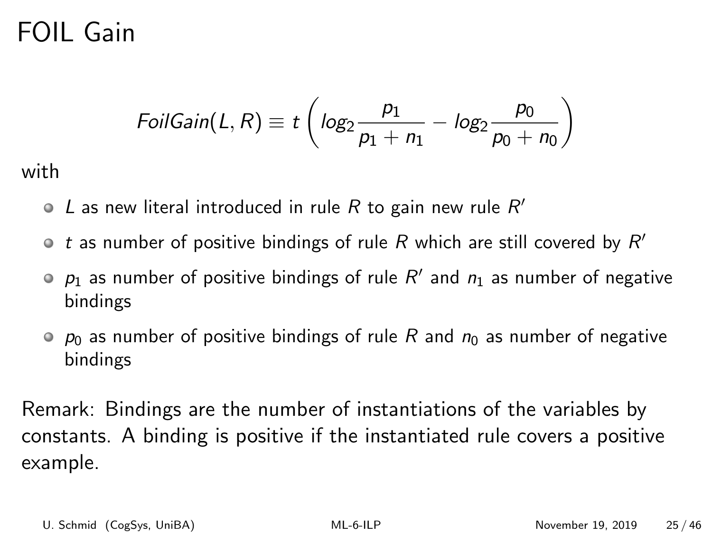## FOIL Gain

$$
FoiGain(L, R) \equiv t \left( log_2 \frac{p_1}{p_1 + n_1} - log_2 \frac{p_0}{p_0 + n_0} \right)
$$

with

- L as new literal introduced in rule R to gain new rule  $R'$
- t as number of positive bindings of rule  $R$  which are still covered by  $R'$
- $p_1$  as number of positive bindings of rule  $R'$  and  $n_1$  as number of negative bindings
- $\circ$   $p_0$  as number of positive bindings of rule R and  $n_0$  as number of negative bindings

Remark: Bindings are the number of instantiations of the variables by constants. A binding is positive if the instantiated rule covers a positive example.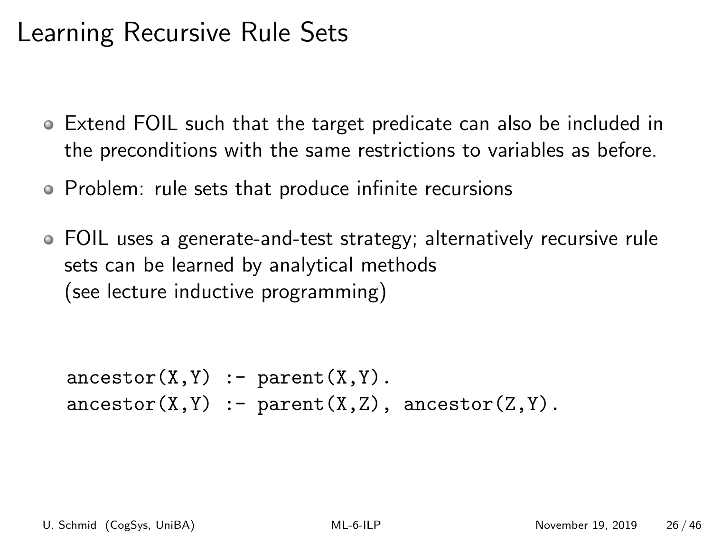## Learning Recursive Rule Sets

- Extend FOIL such that the target predicate can also be included in the preconditions with the same restrictions to variables as before.
- Problem: rule sets that produce infinite recursions
- FOIL uses a generate-and-test strategy; alternatively recursive rule sets can be learned by analytical methods (see lecture inductive programming)

```
\text{arcestor}(X, Y) := \text{parent}(X, Y).
\text{arcestor}(X, Y) :- \text{parent}(X, Z), \text{arcestor}(Z, Y).
```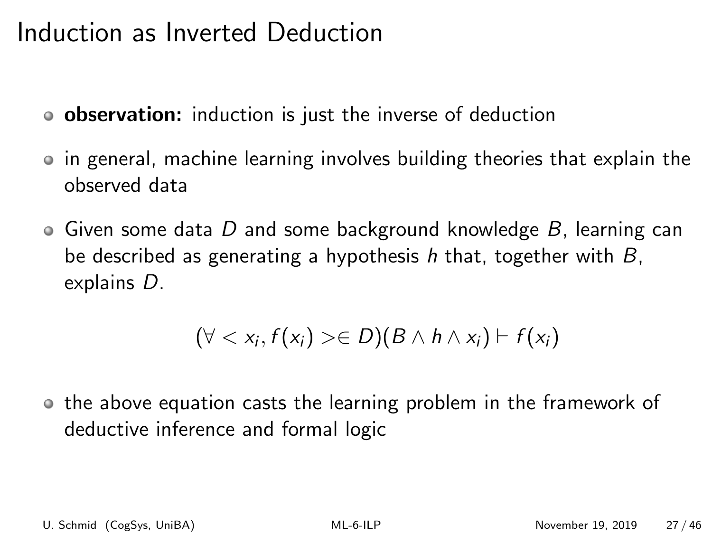### Induction as Inverted Deduction

- **o** observation: induction is just the inverse of deduction
- in general, machine learning involves building theories that explain the observed data
- $\bullet$  Given some data D and some background knowledge B, learning can be described as generating a hypothesis h that, together with  $B$ , explains D.

$$
(\forall  \in D)(B \wedge h \wedge x_i) \vdash f(x_i)
$$

o the above equation casts the learning problem in the framework of deductive inference and formal logic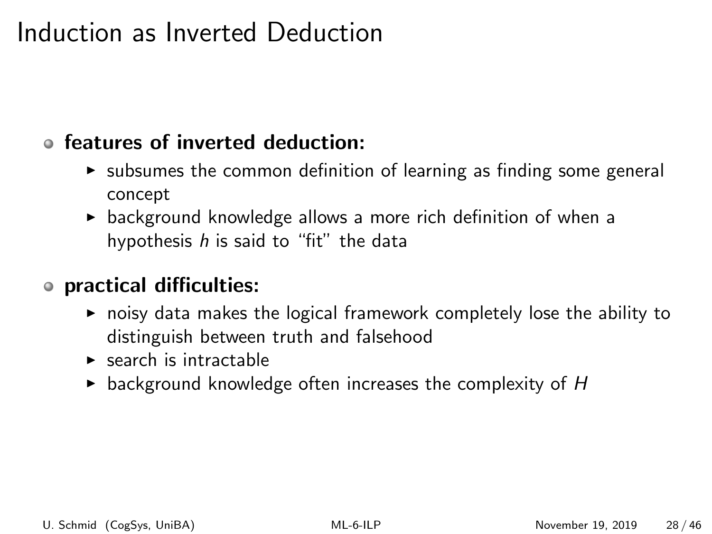## Induction as Inverted Deduction

#### features of inverted deduction:

- $\triangleright$  subsumes the common definition of learning as finding some general concept
- $\triangleright$  background knowledge allows a more rich definition of when a hypothesis  $h$  is said to "fit" the data

#### practical difficulties:

- $\triangleright$  noisy data makes the logical framework completely lose the ability to distinguish between truth and falsehood
- $\blacktriangleright$  search is intractable
- $\triangleright$  background knowledge often increases the complexity of H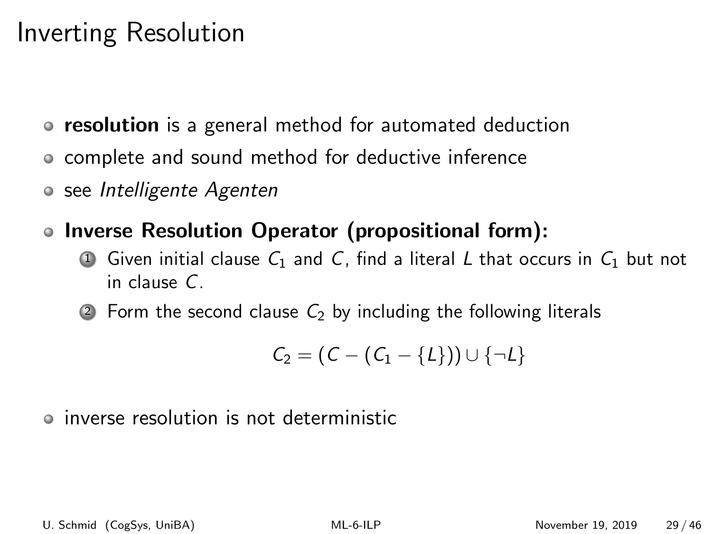- resolution is a general method for automated deduction
- complete and sound method for deductive inference
- o see Intelligente Agenten
- Inverse Resolution Operator (propositional form):
	- **1** Given initial clause  $C_1$  and C, find a literal L that occurs in  $C_1$  but not in clause C.
	- 2 Form the second clause  $C_2$  by including the following literals

$$
\mathcal{C}_2 = (\mathcal{C} - (\mathcal{C}_1 - \{L\})) \cup \{\neg L\}
$$

inverse resolution is not deterministic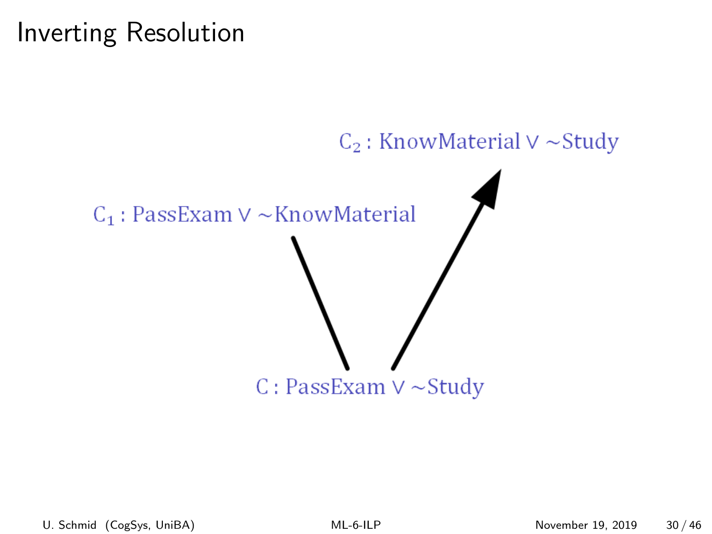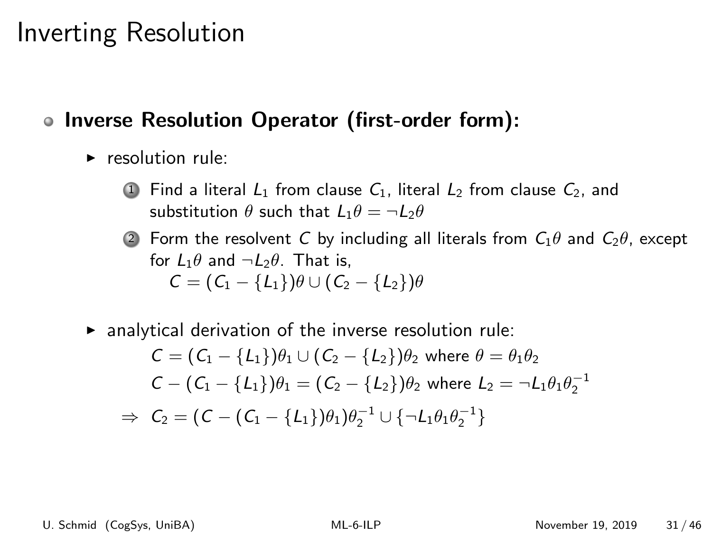#### • Inverse Resolution Operator (first-order form):

- $\triangleright$  resolution rule:
	- **1** Find a literal  $L_1$  from clause  $C_1$ , literal  $L_2$  from clause  $C_2$ , and substitution  $\theta$  such that  $L_1\theta = \neg L_2\theta$
	- 2 Form the resolvent C by including all literals from  $C_1\theta$  and  $C_2\theta$ , except for  $L_1\theta$  and  $\neg L_2\theta$ . That is,  $C = (C_1 - \{L_1\})\theta \cup (C_2 - \{L_2\})\theta$
- $\triangleright$  analytical derivation of the inverse resolution rule:

$$
C = (C_1 - \{L_1\})\theta_1 \cup (C_2 - \{L_2\})\theta_2 \text{ where } \theta = \theta_1\theta_2
$$
  
\n
$$
C - (C_1 - \{L_1\})\theta_1 = (C_2 - \{L_2\})\theta_2 \text{ where } L_2 = \neg L_1\theta_1\theta_2^{-1}
$$
  
\n
$$
\Rightarrow C_2 = (C - (C_1 - \{L_1\})\theta_1)\theta_2^{-1} \cup \{\neg L_1\theta_1\theta_2^{-1}\}
$$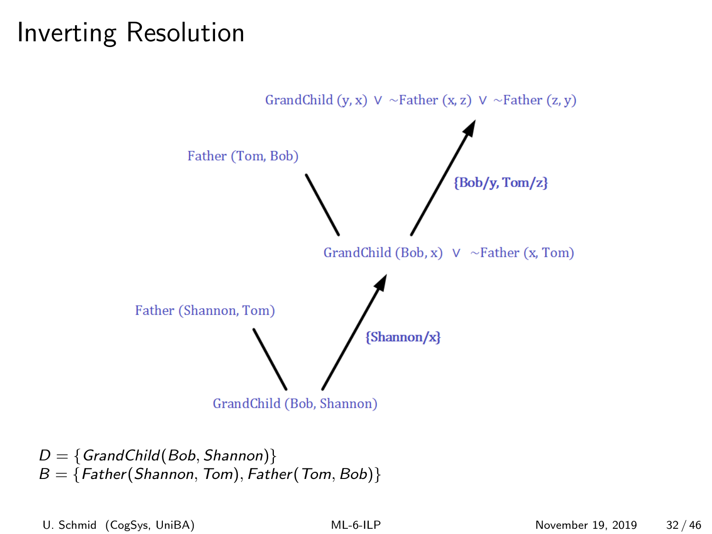

 $D = \{GrandChild(Bob, Shannon)\}$  $B = \{Father(Shannon, Tom), Father(Tom, Bob)\}$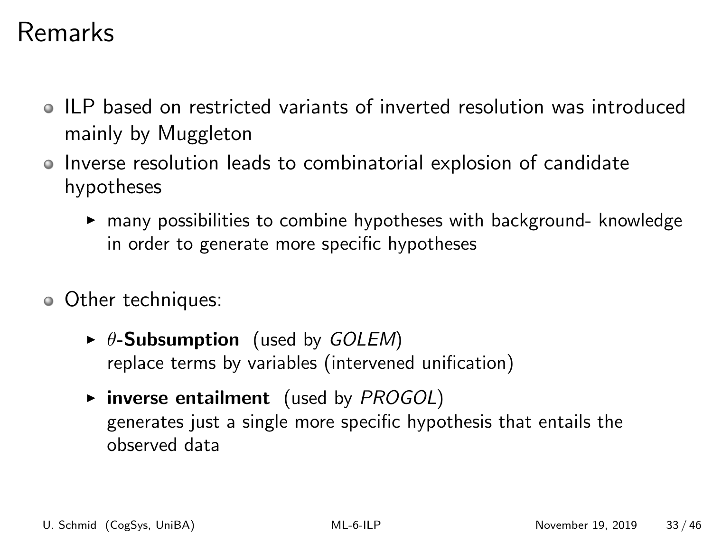## Remarks

- ILP based on restricted variants of inverted resolution was introduced mainly by Muggleton
- Inverse resolution leads to combinatorial explosion of candidate hypotheses
	- $\triangleright$  many possibilities to combine hypotheses with background- knowledge in order to generate more specific hypotheses
- Other techniques:
	- $\triangleright$   $\theta$ -Subsumption (used by GOLEM) replace terms by variables (intervened unification)
	- $\triangleright$  inverse entailment (used by PROGOL) generates just a single more specific hypothesis that entails the observed data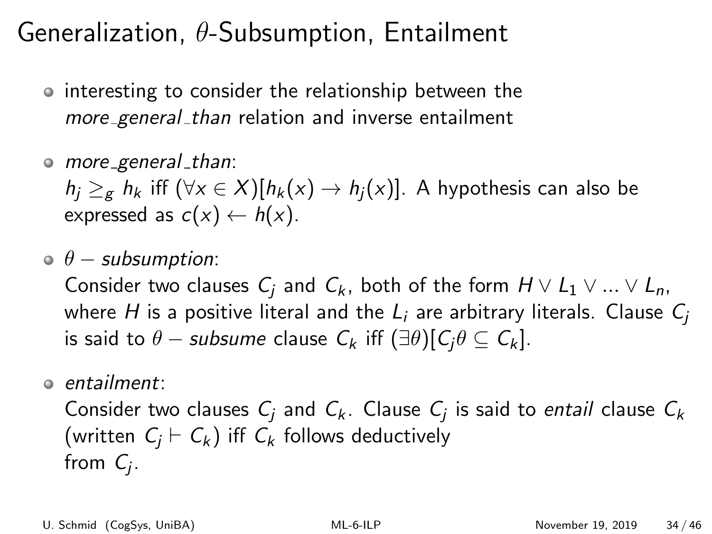## Generalization,  $\theta$ -Subsumption, Entailment

- interesting to consider the relationship between the more general than relation and inverse entailment
- $\circ$  more general than:

 $h_i \geq_g h_k$  iff  $(\forall x \in X)[h_k(x) \rightarrow h_i(x)]$ . A hypothesis can also be expressed as  $c(x) \leftarrow h(x)$ .

 $\theta$  − subsumption:

Consider two clauses  $C_i$  and  $C_k$ , both of the form  $H \vee L_1 \vee ... \vee L_n$ , where H is a positive literal and the  $L_i$  are arbitrary literals. Clause  $C_i$ is said to  $\theta$  – subsume clause  $C_k$  iff  $(\exists \theta)$ [ $C_i\theta \subseteq C_k$ ].

entailment:

Consider two clauses  $\mathcal{C}_j$  and  $\mathcal{C}_k$ . Clause  $\mathcal{C}_j$  is said to *entail* clause  $\mathcal{C}_k$ (written  $C_i \vdash C_k$ ) iff  $C_k$  follows deductively from  $C_j$ .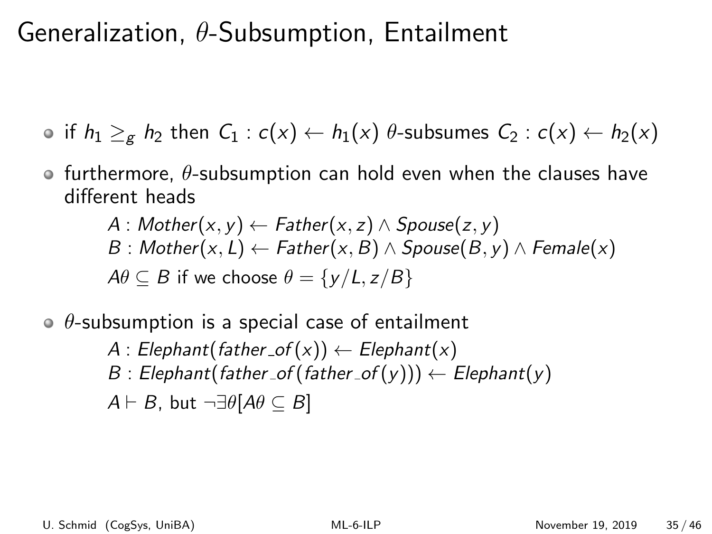## Generalization,  $\theta$ -Subsumption, Entailment

**if**  $h_1 \geq_g h_2$  then  $C_1 : c(x) \leftarrow h_1(x)$   $\theta$ -subsumes  $C_2 : c(x) \leftarrow h_2(x)$ 

 $\bullet$  furthermore,  $\theta$ -subsumption can hold even when the clauses have different heads

$$
A: Mother(x, y) \leftarrow Father(x, z) \land Spouse(z, y)
$$
  

$$
B: Mother(x, L) \leftarrow Father(x, B) \land Spouse(B, y) \land Female(x)
$$
  

$$
A\theta \subseteq B \text{ if we choose } \theta = \{y/L, z/B\}
$$

 $\theta$ -subsumption is a special case of entailment

A: 
$$
Elephant(father_of(x)) \leftarrow Elephant(x)
$$
  
B:  $Elephant(father_of(father_of(y))) \leftarrow Elephant(y)$   
A $\vdash$  B, but  $\neg \exists \theta[A\theta \subseteq B]$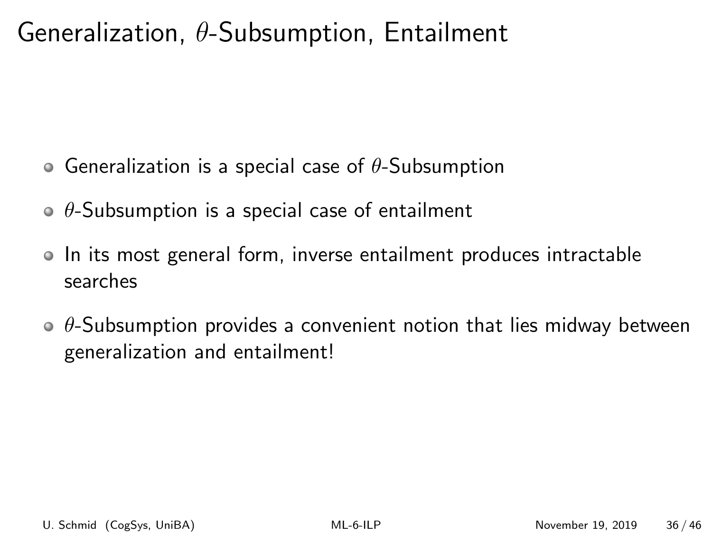## Generalization,  $\theta$ -Subsumption, Entailment

- Generalization is a special case of  $\theta$ -Subsumption
- $\theta$ -Subsumption is a special case of entailment
- In its most general form, inverse entailment produces intractable searches
- $\theta$ -Subsumption provides a convenient notion that lies midway between generalization and entailment!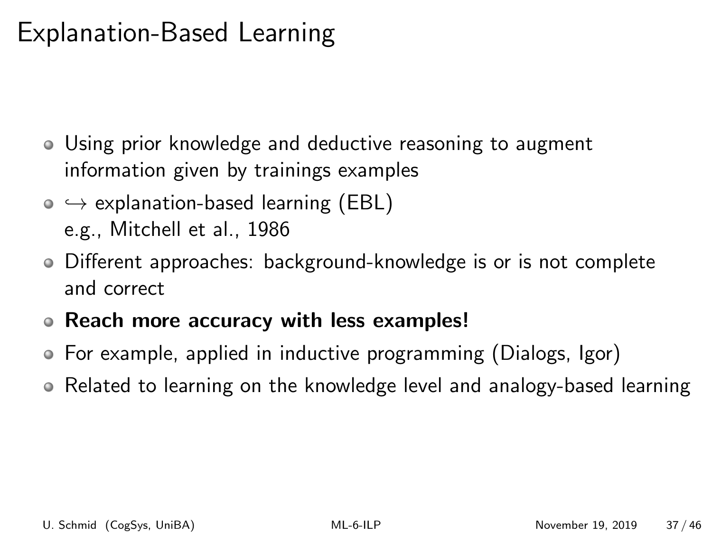## Explanation-Based Learning

- Using prior knowledge and deductive reasoning to augment information given by trainings examples
- $\circ \leftrightarrow$  explanation-based learning (EBL) e.g., Mitchell et al., 1986
- Different approaches: background-knowledge is or is not complete and correct
- Reach more accuracy with less examples!
- For example, applied in inductive programming (Dialogs, Igor)
- Related to learning on the knowledge level and analogy-based learning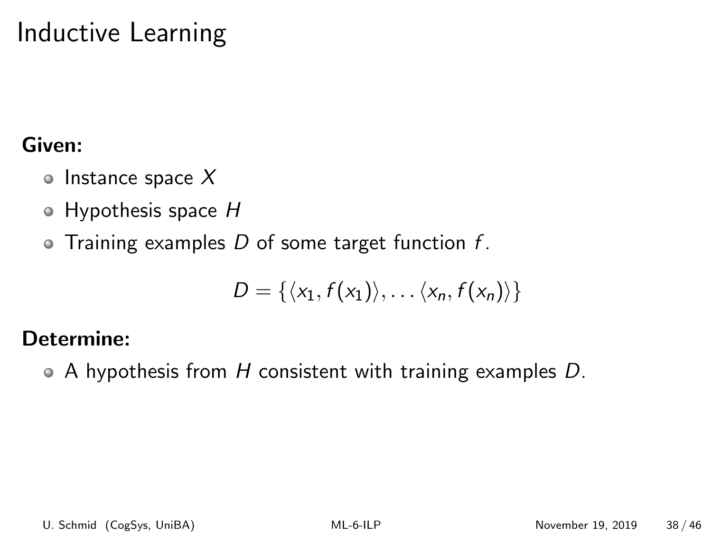## Inductive Learning

#### Given:

- $\circ$  Instance space X
- $\bullet$  Hypothesis space H
- $\bullet$  Training examples D of some target function f.

$$
D = \{ \langle x_1, f(x_1) \rangle, \ldots \langle x_n, f(x_n) \rangle \}
$$

#### Determine:

 $\bullet$  A hypothesis from H consistent with training examples D.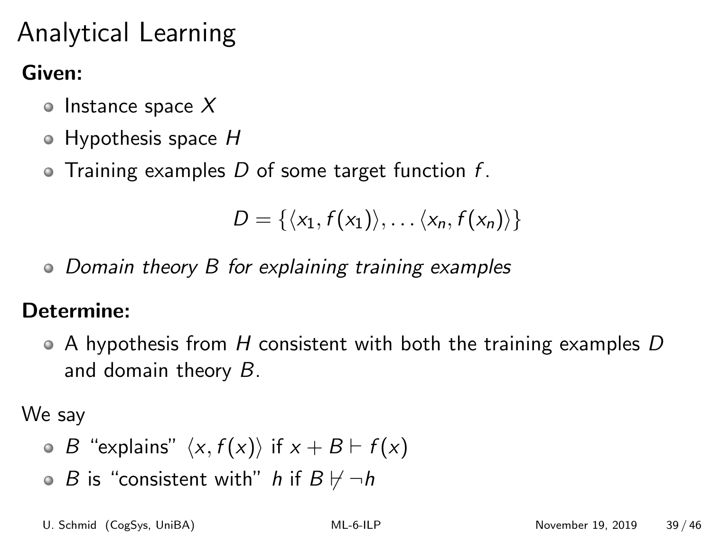# Analytical Learning

#### Given:

- Instance space  $X$
- $\circ$  Hypothesis space H
- $\bullet$  Training examples D of some target function f.

$$
D = \{ \langle x_1, f(x_1) \rangle, \ldots \langle x_n, f(x_n) \rangle \}
$$

• Domain theory B for explaining training examples

#### Determine:

 $\bullet$  A hypothesis from H consistent with both the training examples D and domain theory B.

We say

- $\bullet$  B "explains"  $\langle x, f(x) \rangle$  if  $x + B \vdash f(x)$
- $\bullet$  B is "consistent with" h if  $B \not\vdash \neg h$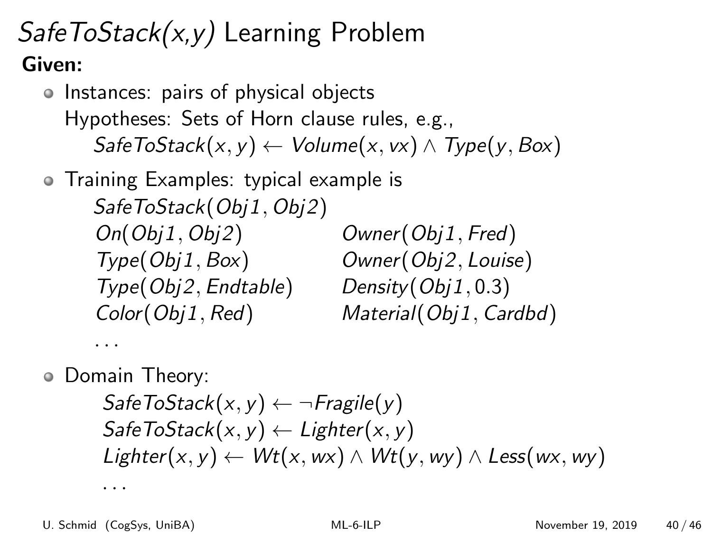## SafeToStack(x,y) Learning Problem Given:

o Instances: pairs of physical objects Hypotheses: Sets of Horn clause rules, e.g.,  $SafeToStack(x, y) \leftarrow Volume(x, vx) \wedge Type(y, Box)$ 

Training Examples: typical example is SafeToStack(Obj1, Obj2) On(Obj1, Obj2) Owner(Obj1, Fred) Type(Obj1, Box) Owner(Obj2, Louise) Type(Obj2, Endtable) Density(Obj1, 0.3) Color(Obj1, Red) Material(Obj1, Cardbd)

Domain Theory:

. . .

```
SafeToStack(x, y) \leftarrow \neg Fragile(y)SafeToStack(x, y) \leftarrow Lighter(x, y)Lighter(x, y) ← Wt(x, wx) \land Wt(y, wy) \land Less(wx, wy)
```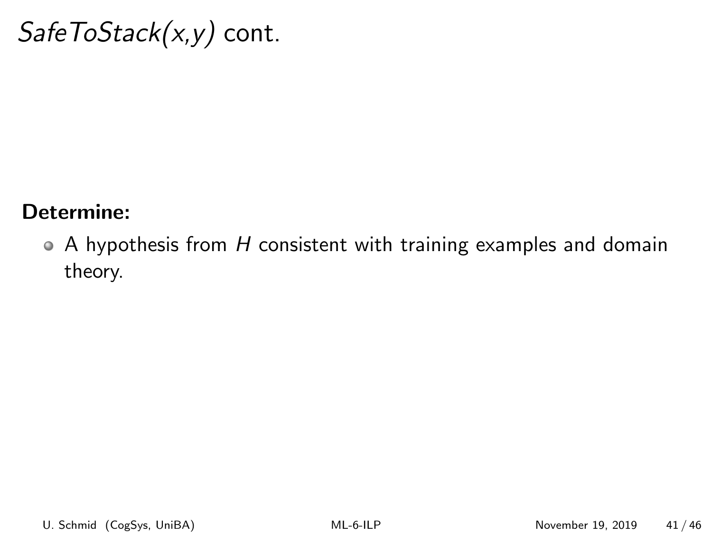## $SafeToStack(x, y)$  cont.

#### Determine:

 $\bullet$  A hypothesis from H consistent with training examples and domain theory.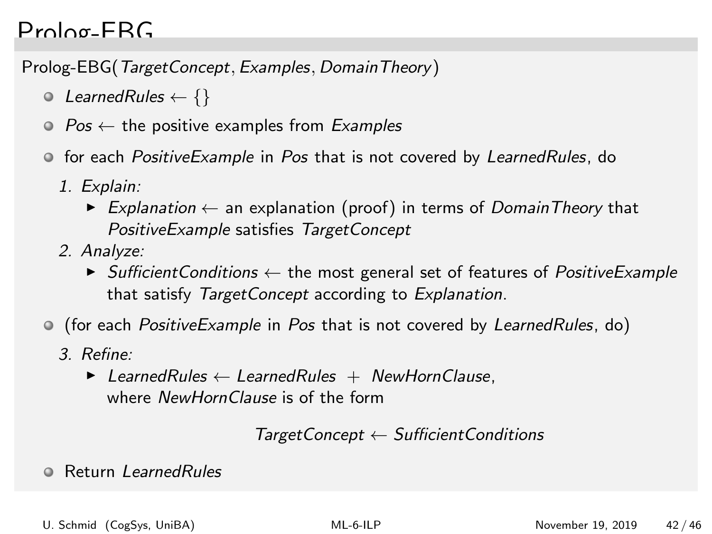#### Prolog-EBG

Prolog-EBG(TargetConcept, Examples, DomainTheory)

- $\odot$  LearnedRules  $\leftarrow \{\}$
- $\odot$  Pos  $\leftarrow$  the positive examples from Examples
- **•** for each *PositiveExample* in *Pos* that is not covered by LearnedRules, do
	- 1. Explain:
		- ► Explanation  $\leftarrow$  an explanation (proof) in terms of DomainTheory that PositiveExample satisfies TargetConcept
	- 2. Analyze:
		- $\triangleright$  Sufficient Conditions  $\leftarrow$  the most general set of features of *PositiveExample* that satisfy TargetConcept according to Explanation.
- (for each *PositiveExample* in *Pos* that is not covered by *LearnedRules*, do)
	- 3. Refine:
		- $\blacktriangleright$  LearnedRules  $\leftarrow$  LearnedRules + NewHornClause, where NewHornClause is of the form

```
TargetConcept \leftarrow Sufficient Conditions
```
**• Return LearnedRules**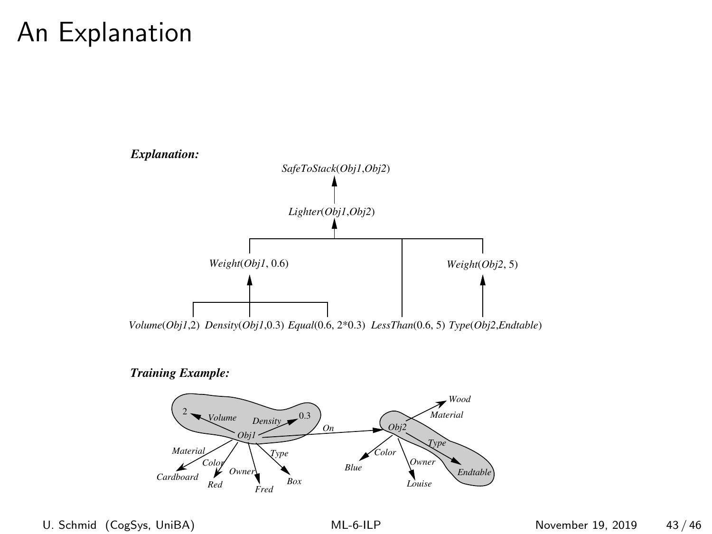## An Explanation



*Training Example:*

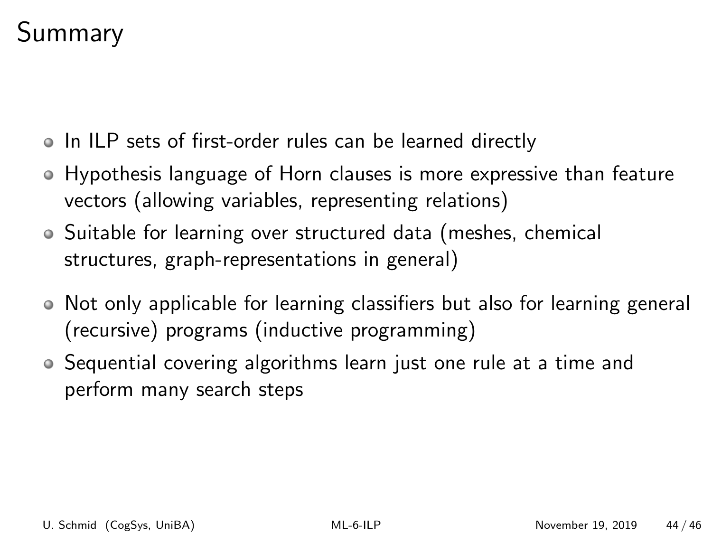## Summary

- In ILP sets of first-order rules can be learned directly
- Hypothesis language of Horn clauses is more expressive than feature vectors (allowing variables, representing relations)
- Suitable for learning over structured data (meshes, chemical structures, graph-representations in general)
- Not only applicable for learning classifiers but also for learning general (recursive) programs (inductive programming)
- Sequential covering algorithms learn just one rule at a time and perform many search steps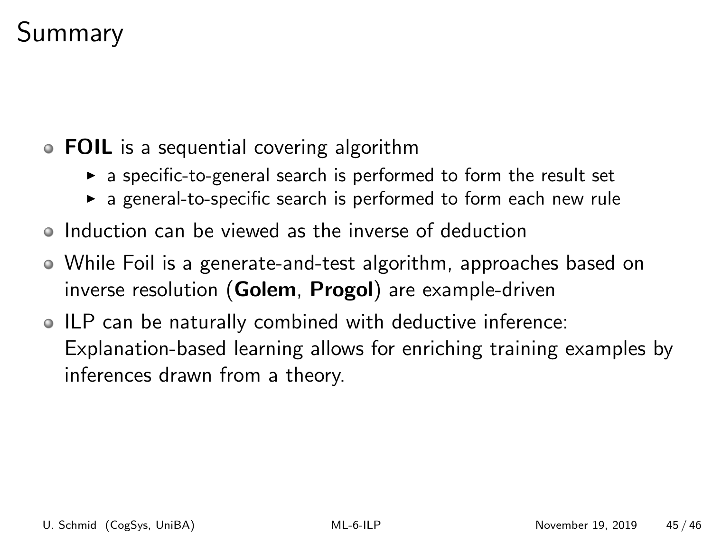## Summary

- **FOIL** is a sequential covering algorithm
	- $\triangleright$  a specific-to-general search is performed to form the result set
	- $\triangleright$  a general-to-specific search is performed to form each new rule
- Induction can be viewed as the inverse of deduction
- While Foil is a generate-and-test algorithm, approaches based on inverse resolution (Golem, Progol) are example-driven
- ILP can be naturally combined with deductive inference: Explanation-based learning allows for enriching training examples by inferences drawn from a theory.